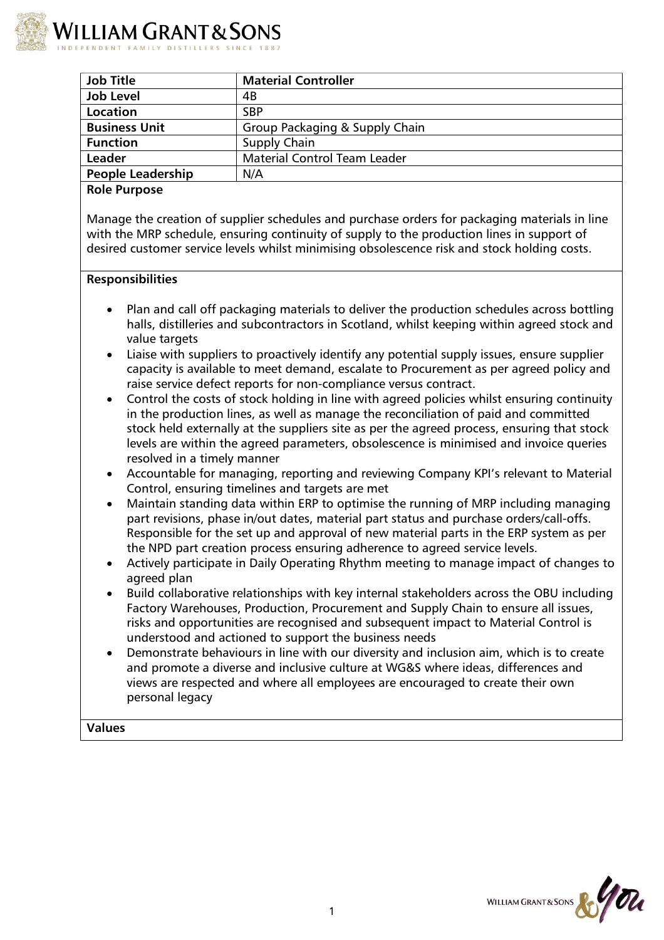

| <b>Job Title</b>         | <b>Material Controller</b>          |
|--------------------------|-------------------------------------|
| <b>Job Level</b>         | 4B                                  |
| Location                 | <b>SBP</b>                          |
| <b>Business Unit</b>     | Group Packaging & Supply Chain      |
| <b>Function</b>          | Supply Chain                        |
| Leader                   | <b>Material Control Team Leader</b> |
| <b>People Leadership</b> | N/A                                 |
| <b>Role Purpose</b>      |                                     |

Manage the creation of supplier schedules and purchase orders for packaging materials in line with the MRP schedule, ensuring continuity of supply to the production lines in support of desired customer service levels whilst minimising obsolescence risk and stock holding costs.

### **Responsibilities**

- Plan and call off packaging materials to deliver the production schedules across bottling halls, distilleries and subcontractors in Scotland, whilst keeping within agreed stock and value targets
- Liaise with suppliers to proactively identify any potential supply issues, ensure supplier capacity is available to meet demand, escalate to Procurement as per agreed policy and raise service defect reports for non-compliance versus contract.
- Control the costs of stock holding in line with agreed policies whilst ensuring continuity in the production lines, as well as manage the reconciliation of paid and committed stock held externally at the suppliers site as per the agreed process, ensuring that stock levels are within the agreed parameters, obsolescence is minimised and invoice queries resolved in a timely manner
- Accountable for managing, reporting and reviewing Company KPI's relevant to Material Control, ensuring timelines and targets are met
- Maintain standing data within ERP to optimise the running of MRP including managing part revisions, phase in/out dates, material part status and purchase orders/call-offs. Responsible for the set up and approval of new material parts in the ERP system as per the NPD part creation process ensuring adherence to agreed service levels.
- Actively participate in Daily Operating Rhythm meeting to manage impact of changes to agreed plan
- Build collaborative relationships with key internal stakeholders across the OBU including Factory Warehouses, Production, Procurement and Supply Chain to ensure all issues, risks and opportunities are recognised and subsequent impact to Material Control is understood and actioned to support the business needs
- Demonstrate behaviours in line with our diversity and inclusion aim, which is to create and promote a diverse and inclusive culture at WG&S where ideas, differences and views are respected and where all employees are encouraged to create their own personal legacy

**Values**

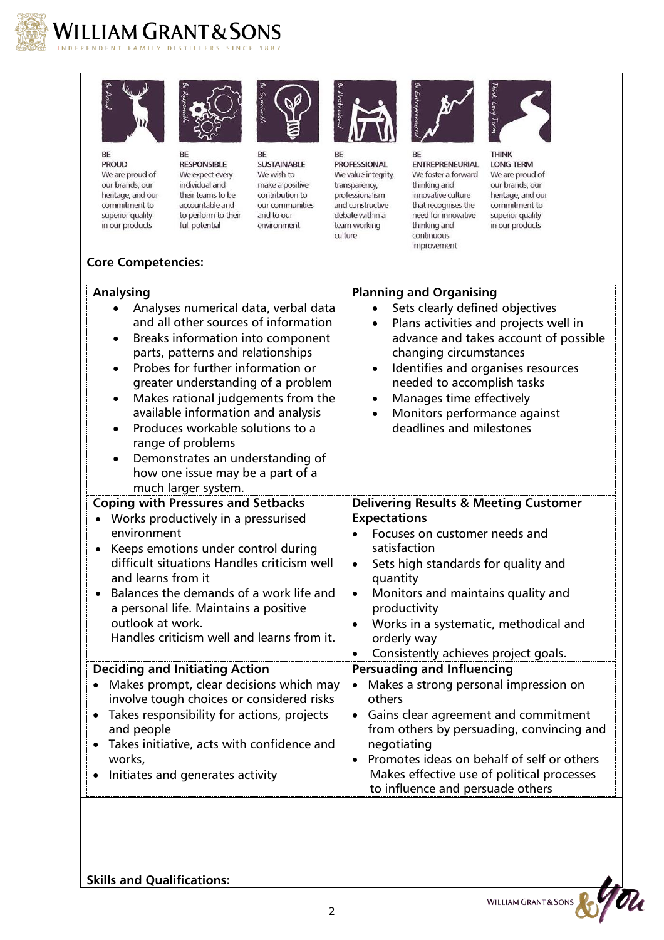

## WILLIAM GRANT & SONS NDENT FAMILY DISTILLERS SINCE



**PROUD** 



BE **RESPONSIBLE** We are proud of We expect every our brands, our individual and heritage, and our their teams to be commitment to accountable and to perform to their superior quality in our products full potential



BE **SUSTAINABLE** We wish to make a positive contribution to our communities and to our environment



BE **PROFESSIONAL** We value integrity, transparency, professionalism and constructive debate within a team working culture



BE ENTREPRENEURIAL We foster a forward thinking and innovative culture that recognises the need for innovative thinking and continuous improvement



**LONG TERM** We are proud of our brands, our heritage, and our commitment to superior quality in our products

# **Core Competencies:**

| <b>Analysing</b>                                                                                                                                                                                                                                                                                                                                                                                                                                                                                | <b>Planning and Organising</b>                                                                                                                                                                                                                                                                                                                              |
|-------------------------------------------------------------------------------------------------------------------------------------------------------------------------------------------------------------------------------------------------------------------------------------------------------------------------------------------------------------------------------------------------------------------------------------------------------------------------------------------------|-------------------------------------------------------------------------------------------------------------------------------------------------------------------------------------------------------------------------------------------------------------------------------------------------------------------------------------------------------------|
| Analyses numerical data, verbal data<br>and all other sources of information<br>Breaks information into component<br>parts, patterns and relationships<br>Probes for further information or<br>greater understanding of a problem<br>Makes rational judgements from the<br>$\bullet$<br>available information and analysis<br>Produces workable solutions to a<br>range of problems<br>Demonstrates an understanding of<br>$\bullet$<br>how one issue may be a part of a<br>much larger system. | Sets clearly defined objectives<br>Plans activities and projects well in<br>$\bullet$<br>advance and takes account of possible<br>changing circumstances<br>Identifies and organises resources<br>$\bullet$<br>needed to accomplish tasks<br>Manages time effectively<br>$\bullet$<br>Monitors performance against<br>$\bullet$<br>deadlines and milestones |
| <b>Coping with Pressures and Setbacks</b><br>Works productively in a pressurised<br>environment<br>Keeps emotions under control during<br>difficult situations Handles criticism well<br>and learns from it<br>Balances the demands of a work life and<br>a personal life. Maintains a positive<br>outlook at work.                                                                                                                                                                             | <b>Delivering Results &amp; Meeting Customer</b><br><b>Expectations</b><br>Focuses on customer needs and<br>satisfaction<br>Sets high standards for quality and<br>$\bullet$<br>quantity<br>Monitors and maintains quality and<br>$\bullet$<br>productivity<br>Works in a systematic, methodical and<br>$\bullet$                                           |
| Handles criticism well and learns from it.                                                                                                                                                                                                                                                                                                                                                                                                                                                      | orderly way<br>Consistently achieves project goals.<br>$\bullet$                                                                                                                                                                                                                                                                                            |
| <b>Deciding and Initiating Action</b><br>Makes prompt, clear decisions which may<br>involve tough choices or considered risks<br>Takes responsibility for actions, projects<br>$\bullet$<br>and people<br>Takes initiative, acts with confidence and<br>works,<br>Initiates and generates activity                                                                                                                                                                                              | <b>Persuading and Influencing</b><br>Makes a strong personal impression on<br>others<br>Gains clear agreement and commitment<br>$\bullet$<br>from others by persuading, convincing and<br>negotiating<br>Promotes ideas on behalf of self or others<br>Makes effective use of political processes<br>to influence and persuade others                       |